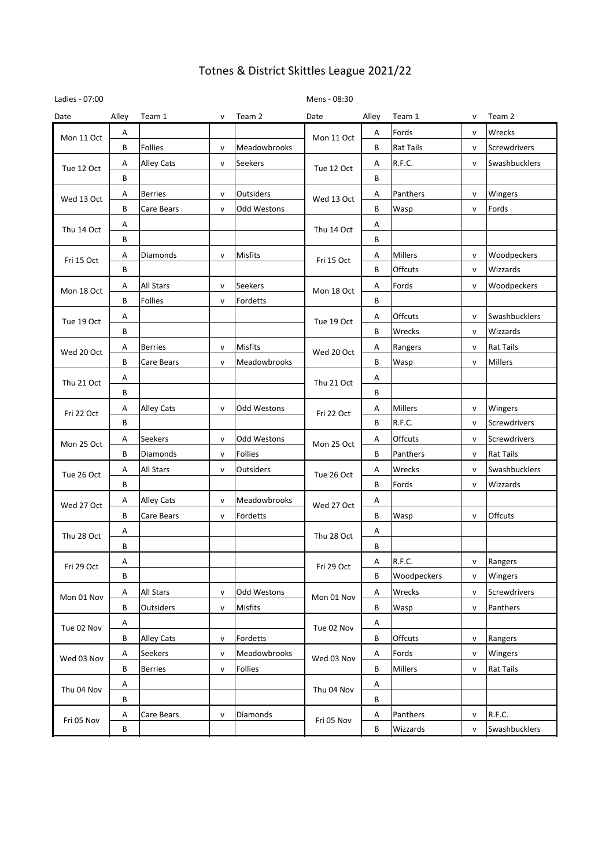| Ladies - 07:00 |       |                   |              |                | Mens - 08:30 |                         |                  |              |                  |
|----------------|-------|-------------------|--------------|----------------|--------------|-------------------------|------------------|--------------|------------------|
| Date           | Alley | Team 1            | v            | Team 2         | Date         | Alley                   | Team 1           | v            | Team 2           |
| Mon 11 Oct     | Α     |                   |              |                | Mon 11 Oct   | Α                       | Fords            | v            | Wrecks           |
|                | В     | Follies           | v            | Meadowbrooks   |              | В                       | <b>Rat Tails</b> | v            | Screwdrivers     |
| Tue 12 Oct     | Α     | <b>Alley Cats</b> | v            | Seekers        | Tue 12 Oct   | Α                       | R.F.C.           | $\mathsf{v}$ | Swashbucklers    |
|                | В     |                   |              |                |              | В                       |                  |              |                  |
| Wed 13 Oct     | Α     | <b>Berries</b>    | $\mathsf{v}$ | Outsiders      | Wed 13 Oct   | Α                       | Panthers         | v            | Wingers          |
|                | В     | Care Bears        | v            | Odd Westons    |              | В                       | Wasp             | v            | Fords            |
| Thu 14 Oct     | Α     |                   |              |                | Thu 14 Oct   | Α                       |                  |              |                  |
|                | В     |                   |              |                |              | В                       |                  |              |                  |
| Fri 15 Oct     | Α     | Diamonds          | $\mathsf{v}$ | Misfits        | Fri 15 Oct   | Α                       | <b>Millers</b>   | v            | Woodpeckers      |
|                | В     |                   |              |                |              | В                       | Offcuts          | v            | Wizzards         |
|                | Α     | All Stars         | v            | Seekers        |              | Α                       | Fords            | $\mathsf{v}$ | Woodpeckers      |
| Mon 18 Oct     | В     | Follies           | v            | Fordetts       | Mon 18 Oct   | В                       |                  |              |                  |
|                | Α     |                   |              |                |              | Α                       | Offcuts          | v            | Swashbucklers    |
| Tue 19 Oct     | В     |                   |              |                | Tue 19 Oct   | В                       | Wrecks           | V            | Wizzards         |
|                | Α     | <b>Berries</b>    | v            | Misfits        |              | Α                       | Rangers          | v            | <b>Rat Tails</b> |
| Wed 20 Oct     | B     | Care Bears        | v            | Meadowbrooks   | Wed 20 Oct   | В                       | Wasp             | v            | <b>Millers</b>   |
|                | Α     |                   |              |                | Thu 21 Oct   | Α                       |                  |              |                  |
| Thu 21 Oct     | В     |                   |              |                |              | В                       |                  |              |                  |
| Fri 22 Oct     | Α     | <b>Alley Cats</b> | $\mathsf{v}$ | Odd Westons    | Fri 22 Oct   | Α                       | Millers          | v            | Wingers          |
|                | В     |                   |              |                |              | В                       | R.F.C.           | $\mathsf{v}$ | Screwdrivers     |
|                | Α     | Seekers           | $\mathsf{v}$ | Odd Westons    |              | Α                       | Offcuts          | $\mathsf{v}$ | Screwdrivers     |
| Mon 25 Oct     | В     | Diamonds          | v            | <b>Follies</b> | Mon 25 Oct   | B                       | Panthers         | v            | <b>Rat Tails</b> |
|                | Α     | <b>All Stars</b>  | $\mathsf{v}$ | Outsiders      |              | Α                       | Wrecks           | $\mathsf{v}$ | Swashbucklers    |
| Tue 26 Oct     | В     |                   |              |                | Tue 26 Oct   | B                       | Fords            | v            | Wizzards         |
|                | Α     | <b>Alley Cats</b> | $\mathsf{v}$ | Meadowbrooks   |              | Α                       |                  |              |                  |
| Wed 27 Oct     | В     | Care Bears        | v            | Fordetts       | Wed 27 Oct   | В                       | Wasp             | $\mathsf{v}$ | Offcuts          |
|                | Α     |                   |              |                |              | A                       |                  |              |                  |
| Thu 28 Oct     | В     |                   |              |                | Thu 28 Oct   | В                       |                  |              |                  |
|                | Α     |                   |              |                |              | Α                       | R.F.C.           | v            | Rangers          |
| Fri 29 Oct     | B     |                   |              |                | Fri 29 Oct   | B                       | Woodpeckers      | $\mathsf{v}$ | Wingers          |
|                | Α     | All Stars         | v            | Odd Westons    |              | $\overline{\mathsf{A}}$ | Wrecks           | v            | Screwdrivers     |
| Mon 01 Nov     | В     | Outsiders         | v            | Misfits        | Mon 01 Nov   | В                       | Wasp             | $\mathsf{v}$ | Panthers         |
|                | Α     |                   |              |                |              | A                       |                  |              |                  |
| Tue 02 Nov     | В     | Alley Cats        | v            | Fordetts       | Tue 02 Nov   | В                       | Offcuts          | v            | Rangers          |
|                | Α     | <b>Seekers</b>    | $\mathsf{v}$ | Meadowbrooks   |              | A                       | Fords            | $\mathsf{v}$ | Wingers          |
| Wed 03 Nov     | B     | <b>Berries</b>    | v            | Follies        | Wed 03 Nov   | B                       | Millers          | v            | <b>Rat Tails</b> |
|                | Α     |                   |              |                |              | A                       |                  |              |                  |
| Thu 04 Nov     | В     |                   |              |                | Thu 04 Nov   | B                       |                  |              |                  |
|                | Α     | Care Bears        | v            | Diamonds       |              | Α                       | Panthers         | v            | R.F.C.           |
| Fri 05 Nov     | В     |                   |              |                | Fri 05 Nov   | B                       | Wizzards         | $\mathsf{v}$ | Swashbucklers    |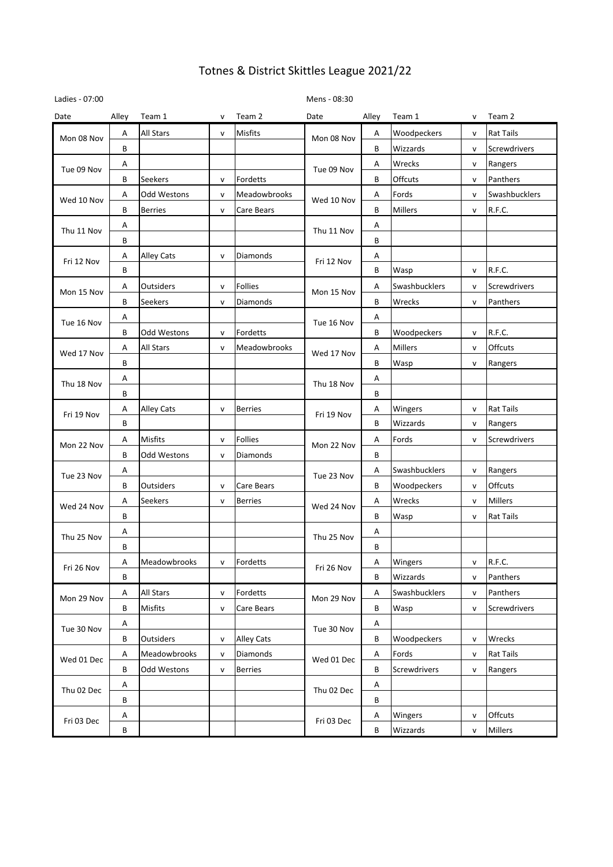| Ladies - 07:00 |       |                   |              |                   | Mens - 08:30 |       |                |              |                  |
|----------------|-------|-------------------|--------------|-------------------|--------------|-------|----------------|--------------|------------------|
| Date           | Alley | Team 1            | v            | Team 2            | Date         | Alley | Team 1         | v            | Team 2           |
| Mon 08 Nov     | Α     | <b>All Stars</b>  | $\mathsf{v}$ | Misfits           | Mon 08 Nov   | Α     | Woodpeckers    | v            | <b>Rat Tails</b> |
|                | В     |                   |              |                   |              | B     | Wizzards       | $\mathsf{v}$ | Screwdrivers     |
| Tue 09 Nov     | Α     |                   |              |                   | Tue 09 Nov   | Α     | Wrecks         | V            | Rangers          |
|                | В     | Seekers           | $\mathsf{v}$ | Fordetts          |              | B     | Offcuts        | V            | Panthers         |
| Wed 10 Nov     | Α     | Odd Westons       | $\mathsf{v}$ | Meadowbrooks      | Wed 10 Nov   | Α     | Fords          | $\mathsf{v}$ | Swashbucklers    |
|                | В     | <b>Berries</b>    | $\mathsf{v}$ | Care Bears        |              | В     | <b>Millers</b> | V            | R.F.C.           |
| Thu 11 Nov     | Α     |                   |              |                   | Thu 11 Nov   | Α     |                |              |                  |
|                | В     |                   |              |                   |              | B     |                |              |                  |
| Fri 12 Nov     | Α     | Alley Cats        | $\mathsf{v}$ | Diamonds          | Fri 12 Nov   | Α     |                |              |                  |
|                | В     |                   |              |                   |              | B     | Wasp           | v            | R.F.C.           |
| Mon 15 Nov     | Α     | Outsiders         | $\mathsf{v}$ | Follies           | Mon 15 Nov   | Α     | Swashbucklers  | v            | Screwdrivers     |
|                | B     | Seekers           | $\mathsf{v}$ | Diamonds          |              | B     | Wrecks         | V            | Panthers         |
| Tue 16 Nov     | Α     |                   |              |                   |              | Α     |                |              |                  |
|                | В     | Odd Westons       | v            | Fordetts          | Tue 16 Nov   | В     | Woodpeckers    | v            | R.F.C.           |
|                | Α     | All Stars         | $\mathsf{v}$ | Meadowbrooks      |              | Α     | <b>Millers</b> | $\mathsf{v}$ | Offcuts          |
| Wed 17 Nov     | В     |                   |              |                   | Wed 17 Nov   | B     | Wasp           | $\mathsf{V}$ | Rangers          |
|                | Α     |                   |              |                   |              | А     |                |              |                  |
| Thu 18 Nov     | В     |                   |              |                   | Thu 18 Nov   | В     |                |              |                  |
|                | Α     | <b>Alley Cats</b> | $\mathsf{v}$ | <b>Berries</b>    | Fri 19 Nov   | Α     | Wingers        | v            | <b>Rat Tails</b> |
| Fri 19 Nov     | B     |                   |              |                   |              | B     | Wizzards       | $\mathsf{v}$ | Rangers          |
|                | Α     | Misfits           | $\mathsf{v}$ | Follies           |              | Α     | Fords          | v            | Screwdrivers     |
| Mon 22 Nov     | В     | Odd Westons       | v            | Diamonds          | Mon 22 Nov   | В     |                |              |                  |
|                | Α     |                   |              |                   | Tue 23 Nov   | Α     | Swashbucklers  | v            | Rangers          |
| Tue 23 Nov     | B     | Outsiders         | v            | Care Bears        |              | B     | Woodpeckers    | v            | Offcuts          |
|                | Α     | Seekers           | $\mathsf{v}$ | <b>Berries</b>    |              | А     | Wrecks         | v            | <b>Millers</b>   |
| Wed 24 Nov     | В     |                   |              |                   | Wed 24 Nov   | В     | Wasp           | $\mathsf{v}$ | <b>Rat Tails</b> |
|                | Α     |                   |              |                   |              | Α     |                |              |                  |
| Thu 25 Nov     | B     |                   |              |                   | Thu 25 Nov   | B     |                |              |                  |
|                | Α     | Meadowbrooks      | $\mathsf{v}$ | Fordetts          | Fri 26 Nov   | Α     | Wingers        | $\mathsf{v}$ | R.F.C.           |
| Fri 26 Nov     | B     |                   |              |                   |              | B     | Wizzards       | v            | Panthers         |
|                | Α     | All Stars         | $\mathsf{v}$ | Fordetts          |              | Α     | Swashbucklers  | $\mathsf{v}$ | Panthers         |
| Mon 29 Nov     | В     | Misfits           | $\mathsf{v}$ | Care Bears        | Mon 29 Nov   | В     | Wasp           | V            | Screwdrivers     |
|                | Α     |                   |              |                   |              | A     |                |              |                  |
| Tue 30 Nov     | В     | Outsiders         | $\mathsf{v}$ | <b>Alley Cats</b> | Tue 30 Nov   | B     | Woodpeckers    | V            | Wrecks           |
|                | Α     | Meadowbrooks      | $\mathsf{v}$ | Diamonds          |              | Α     | Fords          | v            | <b>Rat Tails</b> |
| Wed 01 Dec     | В     | Odd Westons       | $\mathsf{v}$ | <b>Berries</b>    | Wed 01 Dec   | B     | Screwdrivers   | v            | Rangers          |
|                | Α     |                   |              |                   |              | A     |                |              |                  |
| Thu 02 Dec     | В     |                   |              |                   | Thu 02 Dec   | В     |                |              |                  |
|                | A     |                   |              |                   |              | A     | Wingers        | V            | Offcuts          |
| Fri 03 Dec     | B     |                   |              |                   | Fri 03 Dec   | B     | Wizzards       | v            | Millers          |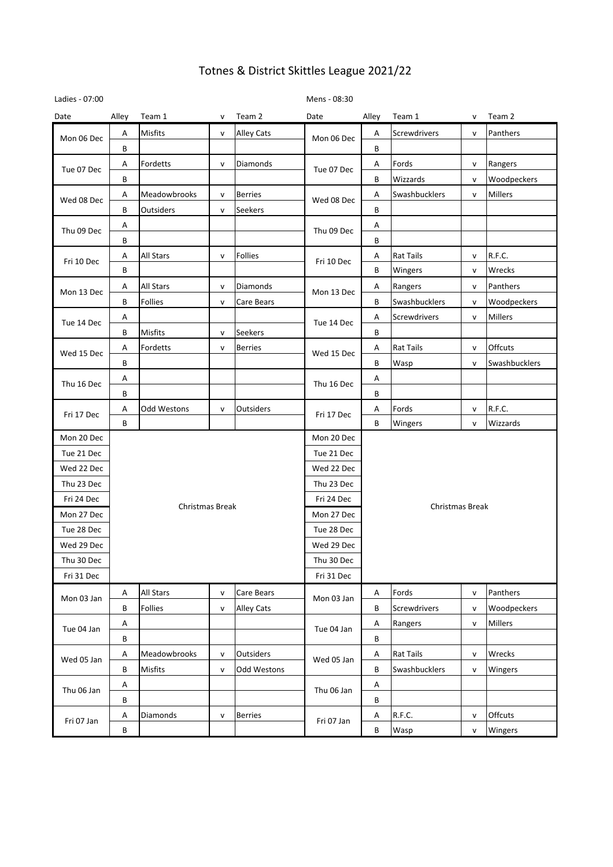| Ladies - 07:00 |       |                  |              |                  | Mens - 08:30 |       |                        |              |               |  |  |
|----------------|-------|------------------|--------------|------------------|--------------|-------|------------------------|--------------|---------------|--|--|
| Date           | Alley | Team 1           | v            | Team 2           | Date         | Alley | Team 1                 | v            | Team 2        |  |  |
| Mon 06 Dec     | Α     | <b>Misfits</b>   | v            | Alley Cats       | Mon 06 Dec   | Α     | Screwdrivers           | v            | Panthers      |  |  |
|                | B     |                  |              |                  |              | B     |                        |              |               |  |  |
| Tue 07 Dec     | Α     | Fordetts         | v            | <b>Diamonds</b>  | Tue 07 Dec   | A     | Fords                  | v            | Rangers       |  |  |
|                | B     |                  |              |                  |              | B     | Wizzards               | $\mathsf{v}$ | Woodpeckers   |  |  |
| Wed 08 Dec     | Α     | Meadowbrooks     | $\mathsf{v}$ | <b>Berries</b>   | Wed 08 Dec   | А     | Swashbucklers          | $\mathsf{v}$ | Millers       |  |  |
|                | B     | Outsiders        | $\mathsf{v}$ | Seekers          |              | B     |                        |              |               |  |  |
| Thu 09 Dec     | Α     |                  |              |                  | Thu 09 Dec   | Α     |                        |              |               |  |  |
|                | B     |                  |              |                  |              | B     |                        |              |               |  |  |
| Fri 10 Dec     | Α     | All Stars        | $\mathsf{v}$ | Follies          | Fri 10 Dec   | Α     | <b>Rat Tails</b>       | v            | R.F.C.        |  |  |
|                | B     |                  |              |                  |              | B     | Wingers                | v            | Wrecks        |  |  |
| Mon 13 Dec     | Α     | All Stars        | $\mathsf{v}$ | Diamonds         | Mon 13 Dec   | Α     | Rangers                | $\mathsf{v}$ | Panthers      |  |  |
|                | B     | <b>Follies</b>   | $\mathsf{v}$ | Care Bears       |              | B     | Swashbucklers          | $\mathsf{v}$ | Woodpeckers   |  |  |
| Tue 14 Dec     | Α     |                  |              |                  | Tue 14 Dec   | Α     | Screwdrivers           | $\mathsf{v}$ | Millers       |  |  |
|                | В     | <b>Misfits</b>   | v            | Seekers          |              | B     |                        |              |               |  |  |
| Wed 15 Dec     | Α     | Fordetts         | $\mathsf{v}$ | <b>Berries</b>   | Wed 15 Dec   | Α     | <b>Rat Tails</b>       | $\mathsf{v}$ | Offcuts       |  |  |
|                | B     |                  |              |                  |              | B     | Wasp                   | $\mathsf{v}$ | Swashbucklers |  |  |
| Thu 16 Dec     | Α     |                  |              |                  | Thu 16 Dec   | Α     |                        |              |               |  |  |
|                | В     |                  |              |                  |              | B     |                        |              |               |  |  |
| Fri 17 Dec     | Α     | Odd Westons      | $\mathsf{v}$ | Outsiders        | Fri 17 Dec   | Α     | Fords                  | v            | R.F.C.        |  |  |
|                | B     |                  |              |                  |              | B     | Wingers                | $\mathsf{v}$ | Wizzards      |  |  |
| Mon 20 Dec     |       |                  |              |                  | Mon 20 Dec   |       |                        |              |               |  |  |
| Tue 21 Dec     |       |                  |              |                  | Tue 21 Dec   |       |                        |              |               |  |  |
| Wed 22 Dec     |       |                  |              |                  | Wed 22 Dec   |       |                        |              |               |  |  |
| Thu 23 Dec     |       |                  |              |                  | Thu 23 Dec   |       |                        |              |               |  |  |
| Fri 24 Dec     |       | Christmas Break  |              |                  | Fri 24 Dec   |       |                        |              |               |  |  |
| Mon 27 Dec     |       |                  |              |                  | Mon 27 Dec   |       | <b>Christmas Break</b> |              |               |  |  |
| Tue 28 Dec     |       |                  |              |                  | Tue 28 Dec   |       |                        |              |               |  |  |
| Wed 29 Dec     |       |                  |              |                  | Wed 29 Dec   |       |                        |              |               |  |  |
| Thu 30 Dec     |       |                  |              |                  | Thu 30 Dec   |       |                        |              |               |  |  |
| Fri 31 Dec     |       |                  |              |                  | Fri 31 Dec   |       |                        |              |               |  |  |
| Mon 03 Jan     | Α     | <b>All Stars</b> | $\mathsf{v}$ | Care Bears       | Mon 03 Jan   | Α     | Fords                  | $\mathsf{v}$ | Panthers      |  |  |
|                | B     | Follies          | $\mathsf{v}$ | Alley Cats       |              | B     | Screwdrivers           | $\mathsf{v}$ | Woodpeckers   |  |  |
| Tue 04 Jan     | Α     |                  |              |                  | Tue 04 Jan   | A     | Rangers                | $\mathsf{v}$ | Millers       |  |  |
|                | B     |                  |              |                  |              | B     |                        |              |               |  |  |
| Wed 05 Jan     | Α     | Meadowbrooks     | $\mathsf{v}$ | <b>Outsiders</b> | Wed 05 Jan   | A     | <b>Rat Tails</b>       | $\mathsf{V}$ | Wrecks        |  |  |
|                | В     | Misfits          | $\mathsf{v}$ | Odd Westons      |              | В     | Swashbucklers          | $\mathsf{v}$ | Wingers       |  |  |
| Thu 06 Jan     | Α     |                  |              |                  | Thu 06 Jan   | A     |                        |              |               |  |  |
|                | B     |                  |              |                  |              | B     |                        |              |               |  |  |
|                | Α     | Diamonds         | $\mathsf{v}$ | Berries          | Fri 07 Jan   | Α     | R.F.C.                 | $\mathsf{v}$ | Offcuts       |  |  |
| Fri 07 Jan     | B     |                  |              |                  |              | B     | Wasp                   | $\mathsf{v}$ | Wingers       |  |  |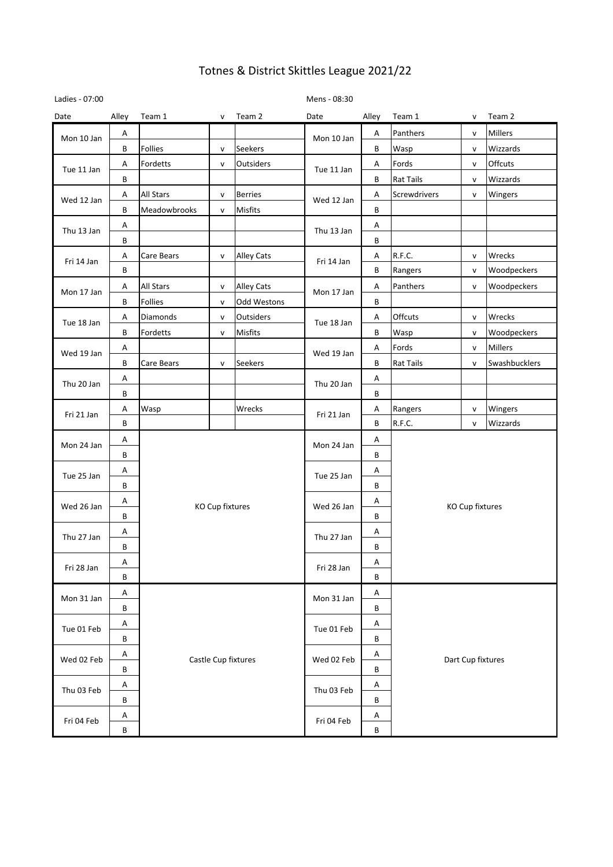| Ladies - 07:00 |       |                     |                 |                   | Mens - 08:30 |                 |                   |              |                |  |  |
|----------------|-------|---------------------|-----------------|-------------------|--------------|-----------------|-------------------|--------------|----------------|--|--|
| Date           | Alley | Team 1              | V               | Team 2            | Date         | Alley           | Team 1            | $\mathsf{V}$ | Team 2         |  |  |
| Mon 10 Jan     | Α     |                     |                 |                   | Mon 10 Jan   | Α               | Panthers          | v            | Millers        |  |  |
|                | В     | Follies             | ${\sf v}$       | <b>Seekers</b>    |              | В               | Wasp              | $\mathsf{v}$ | Wizzards       |  |  |
| Tue 11 Jan     | Α     | Fordetts            | $\mathsf{v}$    | Outsiders         | Tue 11 Jan   | Α               | Fords             | $\mathsf{v}$ | Offcuts        |  |  |
|                | В     |                     |                 |                   |              | B               | <b>Rat Tails</b>  | $\mathsf{v}$ | Wizzards       |  |  |
| Wed 12 Jan     | Α     | All Stars           | $\mathsf{v}$    | <b>Berries</b>    | Wed 12 Jan   | Α               | Screwdrivers      | V            | Wingers        |  |  |
|                | В     | Meadowbrooks        | ${\sf v}$       | Misfits           |              | В               |                   |              |                |  |  |
| Thu 13 Jan     | Α     |                     |                 |                   | Thu 13 Jan   | Α               |                   |              |                |  |  |
|                | В     |                     |                 |                   |              | В               |                   |              |                |  |  |
| Fri 14 Jan     | Α     | Care Bears          | $\mathsf{v}$    | Alley Cats        | Fri 14 Jan   | Α               | R.F.C.            | $\mathsf{V}$ | Wrecks         |  |  |
|                | В     |                     |                 |                   |              | B               | Rangers           | $\mathsf{v}$ | Woodpeckers    |  |  |
| Mon 17 Jan     | Α     | <b>All Stars</b>    | v               | <b>Alley Cats</b> | Mon 17 Jan   | Α               | Panthers          | v            | Woodpeckers    |  |  |
|                | B     | Follies             | ${\sf v}$       | Odd Westons       |              | В               |                   |              |                |  |  |
| Tue 18 Jan     | Α     | Diamonds            | $\mathsf{v}$    | Outsiders         | Tue 18 Jan   | Α               | Offcuts           | v            | Wrecks         |  |  |
|                | В     | Fordetts            | ${\sf v}$       | Misfits           |              | В               | Wasp              | $\mathsf{v}$ | Woodpeckers    |  |  |
| Wed 19 Jan     | Α     |                     |                 |                   | Wed 19 Jan   | Α               | Fords             | $\mathsf{v}$ | <b>Millers</b> |  |  |
|                | В     | Care Bears          | $\mathsf{v}$    | Seekers           |              | B               | <b>Rat Tails</b>  | v            | Swashbucklers  |  |  |
| Thu 20 Jan     | Α     |                     |                 |                   | Thu 20 Jan   | Α               |                   |              |                |  |  |
|                | В     |                     |                 |                   |              | В               |                   |              |                |  |  |
| Fri 21 Jan     | Α     | Wasp                |                 | Wrecks            | Fri 21 Jan   | Α               | Rangers           | v            | Wingers        |  |  |
|                | В     |                     |                 |                   |              | В               | R.F.C.            | $\mathsf{v}$ | Wizzards       |  |  |
| Mon 24 Jan     | Α     |                     |                 | Mon 24 Jan        | Α            |                 |                   |              |                |  |  |
|                | В     |                     |                 |                   | В            |                 |                   |              |                |  |  |
| Tue 25 Jan     | Α     |                     |                 | Tue 25 Jan        | Α            | KO Cup fixtures |                   |              |                |  |  |
|                | В     |                     |                 |                   | В            |                 |                   |              |                |  |  |
| Wed 26 Jan     | А     |                     | KO Cup fixtures | Wed 26 Jan        | Α            |                 |                   |              |                |  |  |
|                | В     |                     |                 |                   | B            |                 |                   |              |                |  |  |
| Thu 27 Jan     | Α     |                     |                 | Thu 27 Jan        | Α            |                 |                   |              |                |  |  |
|                | B     |                     |                 |                   | B            |                 |                   |              |                |  |  |
| Fri 28 Jan     | Α     |                     |                 | Fri 28 Jan        | Α            |                 |                   |              |                |  |  |
|                | B     |                     |                 |                   |              | B               |                   |              |                |  |  |
| Mon 31 Jan     | Α     |                     |                 |                   | Mon 31 Jan   | Α               |                   |              |                |  |  |
|                | В     |                     |                 |                   |              | B               |                   |              |                |  |  |
| Tue 01 Feb     | Α     |                     |                 |                   | Tue 01 Feb   | A               |                   |              |                |  |  |
|                | В     |                     |                 |                   |              | B               |                   |              |                |  |  |
| Wed 02 Feb     | Α     |                     |                 |                   | Wed 02 Feb   | Α               |                   |              |                |  |  |
|                | B     | Castle Cup fixtures |                 |                   |              | В               | Dart Cup fixtures |              |                |  |  |
|                | Α     |                     |                 |                   |              | Α               |                   |              |                |  |  |
| Thu 03 Feb     | В     |                     |                 |                   | Thu 03 Feb   | В               |                   |              |                |  |  |
|                | A     |                     |                 |                   |              | A               |                   |              |                |  |  |
| Fri 04 Feb     | B     |                     |                 |                   | Fri 04 Feb   | B               |                   |              |                |  |  |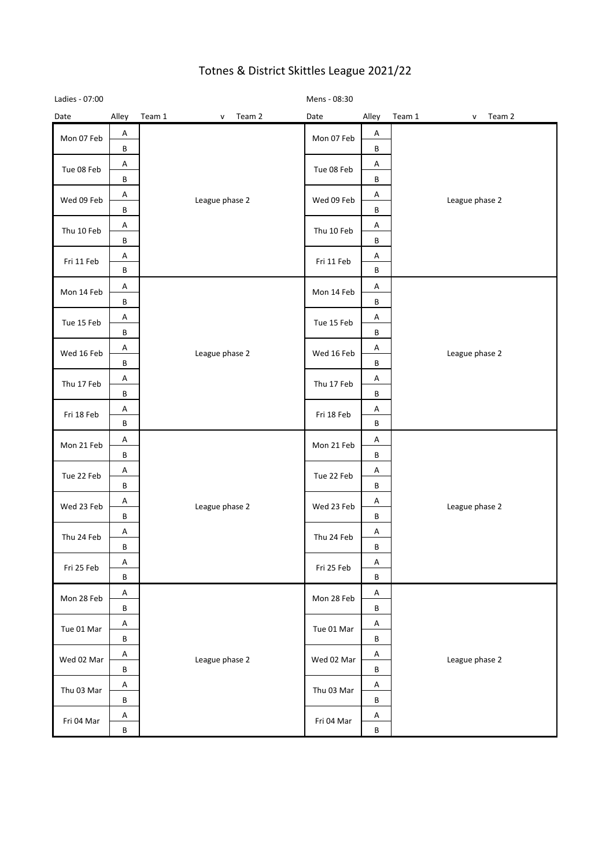| Ladies - 07:00 |         |                |                        | Mens - 08:30 |         |                |                        |
|----------------|---------|----------------|------------------------|--------------|---------|----------------|------------------------|
| Date           | Alley   | Team 1         | Team 2<br>$\mathsf{v}$ | Date         | Alley   | Team 1         | Team 2<br>$\mathsf{v}$ |
| Mon 07 Feb     | A       |                |                        | Mon 07 Feb   | Α       |                |                        |
|                | B       |                |                        |              | B       |                |                        |
| Tue 08 Feb     | Α       |                | Tue 08 Feb             | A            |         |                |                        |
|                | B       |                |                        | B            |         |                |                        |
| Wed 09 Feb     | A       | League phase 2 | Wed 09 Feb             | Α            |         | League phase 2 |                        |
|                | B       |                |                        |              | B       |                |                        |
| Thu 10 Feb     | Α       |                | Thu 10 Feb             | A            |         |                |                        |
|                | B       |                |                        | В            |         |                |                        |
| Fri 11 Feb     | Α       |                |                        | Fri 11 Feb   | Α       |                |                        |
|                | B       |                |                        |              | B       |                |                        |
| Mon 14 Feb     | Α       |                |                        | Mon 14 Feb   | Α       |                |                        |
|                | B       |                |                        |              | B       |                |                        |
| Tue 15 Feb     | Α       |                | Tue 15 Feb             | Α            |         |                |                        |
|                | B       |                | League phase 2         |              | В       |                |                        |
| Wed 16 Feb     | Α<br>В  |                |                        | Wed 16 Feb   | Α<br>В  |                | League phase 2         |
|                | Α       |                |                        |              | Α       |                |                        |
| Thu 17 Feb     | В       |                |                        | Thu 17 Feb   | В       |                |                        |
|                | Α       |                |                        | Α            |         |                |                        |
| Fri 18 Feb     | $\sf B$ |                |                        | Fri 18 Feb   | B       |                |                        |
|                | Α       |                | League phase 2         | Mon 21 Feb   | Α       |                |                        |
| Mon 21 Feb     | В       |                |                        |              | B       |                |                        |
| Tue 22 Feb     | A       |                |                        | Tue 22 Feb   | Α       | League phase 2 |                        |
|                | В       |                |                        |              | B       |                |                        |
| Wed 23 Feb     | Α       |                |                        | Wed 23 Feb   | Α       |                |                        |
|                | B       |                |                        |              | B       |                |                        |
| Thu 24 Feb     | Α       |                |                        | Thu 24 Feb   | Α       |                |                        |
|                | В       |                |                        |              | В       |                |                        |
| Fri 25 Feb     | Α       |                |                        | Fri 25 Feb   | Α       |                |                        |
|                | В       |                |                        |              | B       |                |                        |
| Mon 28 Feb     | Α       |                |                        | Mon 28 Feb   | A       |                |                        |
|                | B       |                |                        |              | B       |                |                        |
| Tue 01 Mar     | Α       |                |                        | Tue 01 Mar   | A       |                |                        |
|                | B       |                |                        |              | В       |                |                        |
| Wed 02 Mar     | Α       |                | League phase 2         | Wed 02 Mar   | A       |                | League phase 2         |
|                | B       |                |                        |              | B       |                |                        |
| Thu 03 Mar     | Α       |                |                        | Thu 03 Mar   | Α       |                |                        |
|                | В       |                |                        |              | B       |                |                        |
| Fri 04 Mar     | Α       |                |                        | Fri 04 Mar   | A       |                |                        |
|                | $\sf B$ |                |                        |              | $\sf B$ |                |                        |